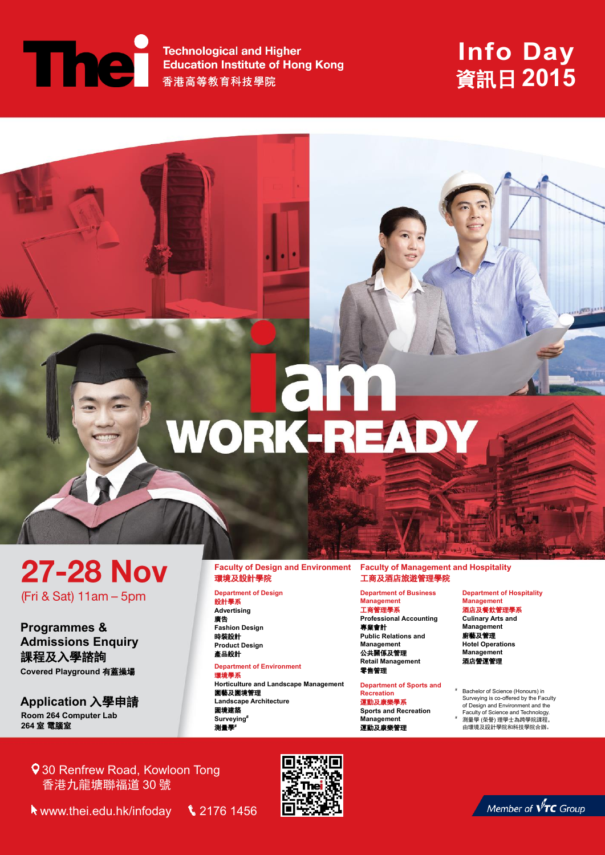**External Technological and Higher<br>Education Institute of Hong Kong<br>香港高等教育科技學院** 

## **Info Day** 資訊日 **2015**

# WORK-READY

**27-28 Nov** (Fri & Sat) 11am - 5pm

**Programmes & Admissions Enquiry**  課程及入學諮詢 **Covered Playground** 有蓋操場

**Application** 入學申請 **Room 264 Computer Lab 264** 室 電腦室

#### **Faculty of Design and Environment**  環境及設計學院

**Department of Design** 設計學系 **Advertising**

廣告 **Fashion Design**  時裝設計 **Product Design**  產品設計

#### **Department of Environment**

環境學系 **Horticulture and Landscape Management**  園藝及園境管理 **Landscape Architecture**  園境建築 **Surveying#** 測量學**#**

#### **Faculty of Management and Hospitality**  工商及酒店旅遊管理學院

**Department of Business Management** 工商管理學系

**Professional Accounting** 專業會計

**Public Relations and Management** 公共關係及管理 **Retail Management** 零售管理

#### **Department of Sports and Recreation**

運動及康樂學系 **Sports and Recreation** 

**Management** 運動及康樂管理 **Department of Hospitality Management** 酒店及餐飲管理學系

**Culinary Arts and Management** 

廚藝及管理 **Hotel Operations Management**  酒店營運管理

- Bachelor of Science (Honours) in Surveying is co-offered by the Faculty of Design and Environment and the Faculty of Science and Technology.
- 測量學 (學學) 理學十為跨學院課程 由環境及設計學院和科技學院合辦。

930 Renfrew Road, Kowloon Tong 香港九龍塘聯福道 30 號

www.thei.edu.hk/infoday2176 1456



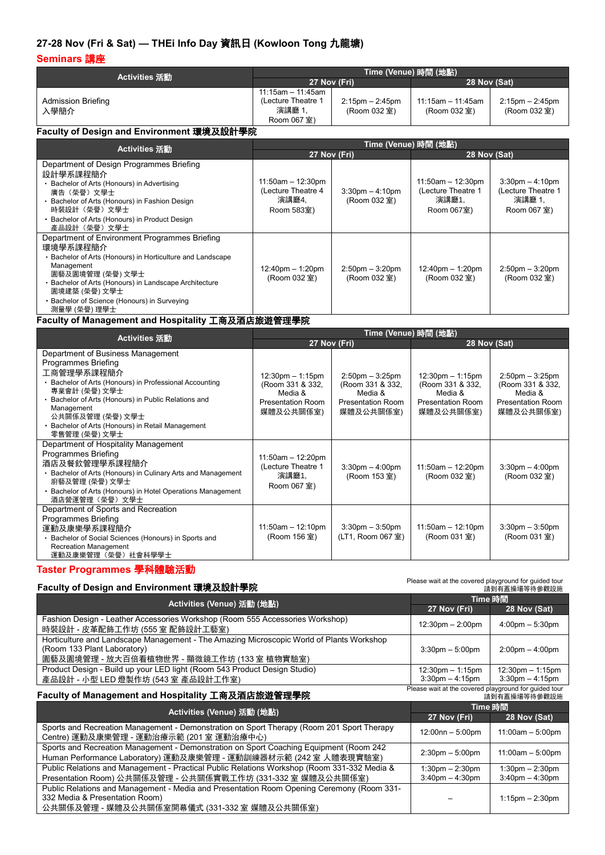### **27-28 Nov (Fri & Sat) — THEi Info Day** 資訊日 **(Kowloon Tong** 九龍塘**)**

#### **Seminars** 講座

|                                                                                                                                                                                                                                                                                                                    | Time (Venue) 時間 (地點)                                                                                       |                                                                                              |                                                                                          |                                                                                       |
|--------------------------------------------------------------------------------------------------------------------------------------------------------------------------------------------------------------------------------------------------------------------------------------------------------------------|------------------------------------------------------------------------------------------------------------|----------------------------------------------------------------------------------------------|------------------------------------------------------------------------------------------|---------------------------------------------------------------------------------------|
| Activities 活動                                                                                                                                                                                                                                                                                                      |                                                                                                            | 27 Nov (Fri)                                                                                 | 28 Nov (Sat)                                                                             |                                                                                       |
| <b>Admission Briefing</b><br>入學簡介                                                                                                                                                                                                                                                                                  | $11:15am - 11:45am$<br>(Lecture Theatre 1<br>演講廳 1,<br>Room 067 室)                                         | $2:15$ pm $- 2:45$ pm<br>(Room 032 室)                                                        | $11:15am - 11:45am$<br>(Room 032 室)                                                      | $2:15$ pm $- 2:45$ pm<br>(Room 032 室)                                                 |
| Faculty of Design and Environment 環境及設計學院                                                                                                                                                                                                                                                                          |                                                                                                            |                                                                                              |                                                                                          |                                                                                       |
| Activities 活動                                                                                                                                                                                                                                                                                                      |                                                                                                            | Time (Venue) 時間 (地點)                                                                         |                                                                                          |                                                                                       |
|                                                                                                                                                                                                                                                                                                                    | 27 Nov (Fri)                                                                                               |                                                                                              | 28 Nov (Sat)                                                                             |                                                                                       |
| Department of Design Programmes Briefing<br>設計學系課程簡介<br>• Bachelor of Arts (Honours) in Advertising<br>廣告(榮譽)文學士<br>· Bachelor of Arts (Honours) in Fashion Design<br>時裝設計(榮譽)文學士<br>• Bachelor of Arts (Honours) in Product Design<br>產品設計(榮譽)文學士                                                                 | $11:50am - 12:30pm$<br>(Lecture Theatre 4<br>演講廳4,<br>Room 583室)                                           | $3:30$ pm $-4:10$ pm<br>(Room 032 室)                                                         | $11:50am - 12:30pm$<br>(Lecture Theatre 1<br>演講廳1,<br>Room 067室)                         | $3:30$ pm $-4:10$ pm<br>(Lecture Theatre 1<br>演講廳 1,<br>Room 067 室)                   |
| Department of Environment Programmes Briefing<br>環境學系課程簡介<br>• Bachelor of Arts (Honours) in Horticulture and Landscape<br>Management<br>園藝及園境管理 (榮譽) 文學士<br>· Bachelor of Arts (Honours) in Landscape Architecture<br>園境建築 (榮譽) 文學士<br>• Bachelor of Science (Honours) in Surveying<br>測量學 (榮譽) 理學士               | 12:40pm - 1:20pm<br>(Room 032 室)                                                                           | $2:50$ pm $-3:20$ pm<br>(Room 032 室)                                                         | 12:40pm - 1:20pm<br>(Room 032 室)                                                         | $2:50$ pm $-3:20$ pm<br>(Room 032 室)                                                  |
| Faculty of Management and Hospitality 工商及酒店旅遊管理學院                                                                                                                                                                                                                                                                  |                                                                                                            |                                                                                              |                                                                                          |                                                                                       |
| Activities 活動                                                                                                                                                                                                                                                                                                      |                                                                                                            | Time (Venue) 時間 (地點)                                                                         |                                                                                          |                                                                                       |
|                                                                                                                                                                                                                                                                                                                    |                                                                                                            | 27 Nov (Fri)                                                                                 | 28 Nov (Sat)                                                                             |                                                                                       |
| Department of Business Management<br>Programmes Briefing<br>工商管理學系課程簡介<br>• Bachelor of Arts (Honours) in Professional Accounting<br>專業會計 (榮譽) 文學士<br>• Bachelor of Arts (Honours) in Public Relations and<br>Management<br>公共關係及管理 (榮譽) 文學士<br>• Bachelor of Arts (Honours) in Retail Management<br>零售管理 (榮譽) 文學士 | $12:30 \text{pm} - 1:15 \text{pm}$<br>(Room 331 & 332,<br>Media &<br><b>Presentation Room</b><br>媒體及公共關係室) | $2:50$ pm $-3:25$ pm<br>(Room 331 & 332,<br>Media &<br><b>Presentation Room</b><br>媒體及公共關係室) | 12:30pm - 1:15pm<br>(Room 331 & 332,<br>Media &<br><b>Presentation Room</b><br>媒體及公共關係室) | $2:50$ pm $-3:25$ pm<br>(Room 331 & 332,<br>Media &<br>Presentation Room<br>媒體及公共關係室) |
| Department of Hospitality Management<br>Programmes Briefing<br>酒店及餐飲管理學系課程簡介<br>• Bachelor of Arts (Honours) in Culinary Arts and Management<br>廚藝及管理 (榮譽) 文學士<br>• Bachelor of Arts (Honours) in Hotel Operations Management<br>酒店營運管理(榮譽)文學士                                                                     | $11:50am - 12:20pm$<br>(Lecture Theatre 1<br>演講廳1,<br>Room 067 室)                                          | $3:30$ pm $-4:00$ pm<br>(Room 153 室)                                                         | $11:50am - 12:20pm$<br>(Room 032 室)                                                      | $3:30$ pm $-4:00$ pm<br>(Room 032 室)                                                  |
| Department of Sports and Recreation<br>Programmes Briefing<br>運動及康樂學系課程簡介<br>• Bachelor of Social Sciences (Honours) in Sports and<br><b>Recreation Management</b><br>運動及康樂管理(榮譽)社會科學學士                                                                                                                            | $11:50am - 12:10pm$<br>(Room 156 室)                                                                        | $3:30$ pm $-3:50$ pm<br>(LT1, Room 067 室)                                                    | $11:50am - 12:10pm$<br>(Room 031室)                                                       | $3:30$ pm $-3:50$ pm<br>(Room 031室)                                                   |
| Taster Programmes 學科體驗活動<br>Please wait at the covered playground for guided tour<br>Eaculty of Design and Environment 珊培 环铅計學腔                                                                                                                                                                                    |                                                                                                            |                                                                                              |                                                                                          |                                                                                       |

| Faculty of Design and Environment 境境及設計學院                                                                                                                             | 請到有蓋操場等待參觀設施                                               |                                                            |
|-----------------------------------------------------------------------------------------------------------------------------------------------------------------------|------------------------------------------------------------|------------------------------------------------------------|
| Activities (Venue) 活動 (地點)                                                                                                                                            | Time 時間                                                    |                                                            |
|                                                                                                                                                                       | 27 Nov (Fri)                                               | 28 Nov (Sat)                                               |
| Fashion Design - Leather Accessories Workshop (Room 555 Accessories Workshop)<br>時裝設計 - 皮革配飾工作坊 (555 室 配飾設計工藝室)                                                       | $12:30 \text{pm} - 2:00 \text{pm}$                         | $4:00 \text{pm} - 5:30 \text{pm}$                          |
| Horticulture and Landscape Management - The Amazing Microscopic World of Plants Workshop<br>(Room 133 Plant Laboratory)<br>園藝及園境管理 - 放大百倍看植物世界 - 顯微鏡工作坊 (133 室 植物實驗室) | $3:30$ pm $-5:00$ pm                                       | $2:00 \text{pm} - 4:00 \text{pm}$                          |
| Product Design - Build up your LED light (Room 543 Product Design Studio)<br>產品設計 - 小型 LED 燈製作坊 (543 室 產品設計工作室)                                                       | $12:30 \text{pm} - 1:15 \text{pm}$<br>$3:30$ pm $-4:15$ pm | $12:30 \text{pm} - 1:15 \text{pm}$<br>$3:30$ pm $-4:15$ pm |
| Faculty of Management and Hospitality 工商及酒店旅遊管理學院                                                                                                                     | Please wait at the covered playground for guided tour      | 請到有蓋操場等待參觀設施                                               |
| - A - 41. -141 ハノヽ 2千玉+ ノムト開トヽ                                                                                                                                        |                                                            | Time 時間                                                    |

| Activities (Venue) 活動 (地點)                                                                                                                                                 | ние выви                                      |                                               |
|----------------------------------------------------------------------------------------------------------------------------------------------------------------------------|-----------------------------------------------|-----------------------------------------------|
|                                                                                                                                                                            | 27 Nov (Fri)                                  | 28 Nov (Sat)                                  |
| Sports and Recreation Management - Demonstration on Sport Therapy (Room 201 Sport Therapy<br>Centre) 運動及康樂管理 - 運動治療示範 (201 室 運動治療中心)                                       | $12:00nn - 5:00pm$                            | $11:00am - 5:00pm$                            |
| Sports and Recreation Management - Demonstration on Sport Coaching Equipment (Room 242)<br>Human Performance Laboratory) 運動及康樂管理 - 運動訓練器材示範 (242 室 人體表現實驗室)                | $2:30 \text{pm} - 5:00 \text{pm}$             | $11:00am - 5:00pm$                            |
| Public Relations and Management - Practical Public Relations Workshop (Room 331-332 Media &<br>Presentation Room) 公共關係及管理 - 公共關係實戰工作坊 (331-332 室 媒體及公共關係室)                 | $1:30$ pm $- 2:30$ pm<br>$3:40$ pm $-4:30$ pm | $1:30$ pm $- 2:30$ pm<br>$3:40$ pm $-4:30$ pm |
| Public Relations and Management - Media and Presentation Room Opening Ceremony (Room 331-<br>332 Media & Presentation Room)<br>公共關係及管理 - 媒體及公共關係室開幕儀式 (331-332 室 媒體及公共關係室) |                                               | $1:15$ pm $-2:30$ pm                          |